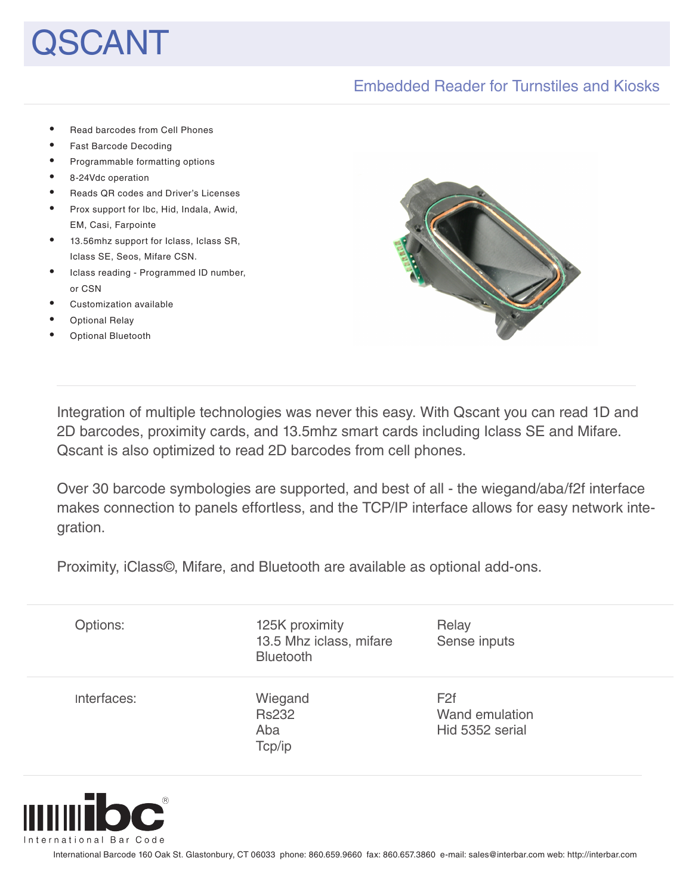# **CANT**

## Embedded Reader for Turnstiles and Kiosks

• Read barcodes from Cell Phones • Fast Barcode Decoding • Programmable formatting options • 8-24Vdc operation • Reads QR codes and Driver's Licenses • Prox support for Ibc, Hid, Indala, Awid, EM, Casi, Farpointe • 13.56mhz support for Iclass, Iclass SR, Iclass SE, Seos, Mifare CSN. Iclass reading - Programmed ID number, or CSN • Customization available • Optional Relay **Optional Bluetooth** 

Integration of multiple technologies was never this easy. With Qscant you can read 1D and 2D barcodes, proximity cards, and 13.5mhz smart cards including Iclass SE and Mifare. Qscant is also optimized to read 2D barcodes from cell phones.

Over 30 barcode symbologies are supported, and best of all - the wiegand/aba/f2f interface makes connection to panels effortless, and the TCP/IP interface allows for easy network integration.

Proximity, iClass©, Mifare, and Bluetooth are available as optional add-ons.

| Options:    | 125K proximity<br>13.5 Mhz iclass, mifare<br><b>Bluetooth</b> | Relay<br>Sense inputs                                |
|-------------|---------------------------------------------------------------|------------------------------------------------------|
| Interfaces: | Wiegand<br><b>Rs232</b><br>Aba<br>Tcp/ip                      | F <sub>2f</sub><br>Wand emulation<br>Hid 5352 serial |



International Barcode 160 Oak St. Glastonbury, CT 06033 phone: 860.659.9660 fax: 860.657.3860 e-mail: sales@interbar.com web: http://interbar.com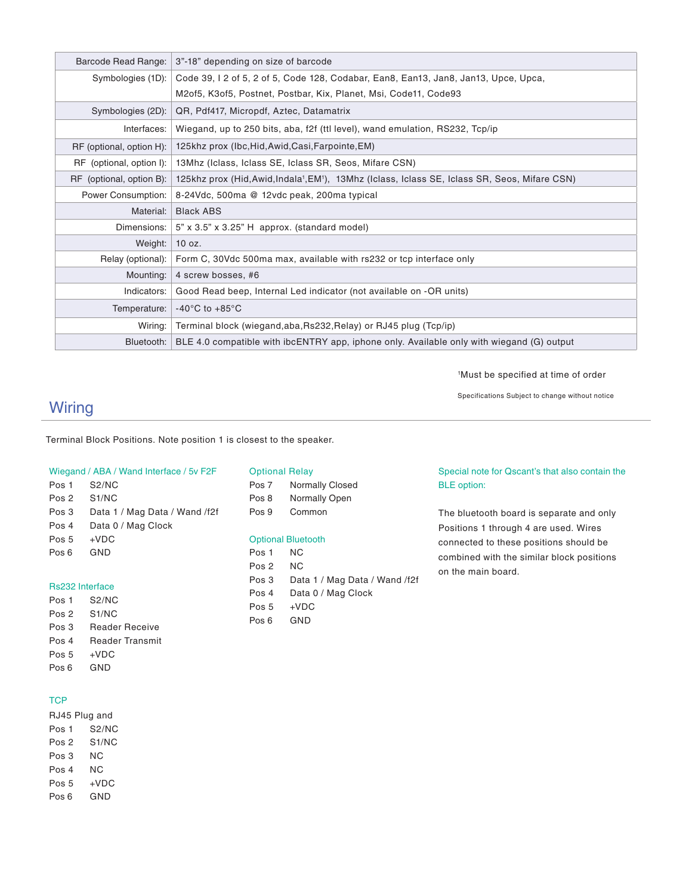| Barcode Read Range:      | 3"-18" depending on size of barcode                                                                                     |
|--------------------------|-------------------------------------------------------------------------------------------------------------------------|
| Symbologies (1D):        | Code 39, 12 of 5, 2 of 5, Code 128, Codabar, Ean8, Ean13, Jan8, Jan13, Upce, Upca,                                      |
|                          | M20f5, K30f5, Postnet, Postbar, Kix, Planet, Msi, Code11, Code93                                                        |
| Symbologies (2D):        | QR, Pdf417, Micropdf, Aztec, Datamatrix                                                                                 |
| Interfaces:              | Wiegand, up to 250 bits, aba, f2f (ttl level), wand emulation, RS232, Tcp/ip                                            |
| RF (optional, option H): | 125khz prox (Ibc, Hid, Awid, Casi, Farpointe, EM)                                                                       |
| RF (optional, option I): | 13Mhz (Iclass, Iclass SE, Iclass SR, Seos, Mifare CSN)                                                                  |
| RF (optional, option B): | 125khz prox (Hid, Awid, Indala <sup>1</sup> , EM <sup>1</sup> ), 13Mhz (Iclass, Iclass SE, Iclass SR, Seos, Mifare CSN) |
| Power Consumption:       | 8-24Vdc, 500ma @ 12vdc peak, 200ma typical                                                                              |
| Material:                | <b>Black ABS</b>                                                                                                        |
| Dimensions:              | $5$ " x 3.5" x 3.25" H approx. (standard model)                                                                         |
| Weight:                  | 10 oz.                                                                                                                  |
| Relay (optional):        | Form C, 30Vdc 500ma max, available with rs232 or tcp interface only                                                     |
| Mounting:                | 4 screw bosses, #6                                                                                                      |
| Indicators:              | Good Read beep, Internal Led indicator (not available on -OR units)                                                     |
| Temperature:             | $-40^{\circ}$ C to $+85^{\circ}$ C                                                                                      |
| Wiring:                  | Terminal block (wiegand, aba, Rs232, Relay) or RJ45 plug (Tcp/ip)                                                       |
| Bluetooth:               | BLE 4.0 compatible with ibcENTRY app, iphone only. Available only with wiegand (G) output                               |

1 Must be specified at time of order

Specifications Subject to change without notice

## **Wiring**

Terminal Block Positions. Note position 1 is closest to the speaker.

#### Wiegand / ABA / Wand Interface / 5v F2F

Pos 1 S2/NC Pos 2 S1/NC Pos 3 Data 1 / Mag Data / Wand /f2f Pos 4 Data 0 / Mag Clock Pos 5 +VDC Pos 6 GND

#### Rs232 Interface

Pos 1 S2/NC Pos 2 S1/NC Pos 3 Reader Receive Pos 4 Reader Transmit Pos 5 +VDC Pos 6 GND

#### **TCP**

RJ45 Plug and Pos 1 S2/NC Pos 2 S1/NC Pos 3 NC Pos 4 NC Pos 5 +VDC Pos 6 GND

#### Optional Relay

Pos 7 Normally Closed Pos 8 Normally Open Pos 9 Common

#### Optional Bluetooth

Pos 1 NC Pos 2 NC Pos 3 Data 1 / Mag Data / Wand /f2f Pos 4 Data 0 / Mag Clock Pos 5 +VDC Pos 6 GND

#### Special note for Qscant's that also contain the BLE option:

The bluetooth board is separate and only Positions 1 through 4 are used. Wires connected to these positions should be combined with the similar block positions on the main board.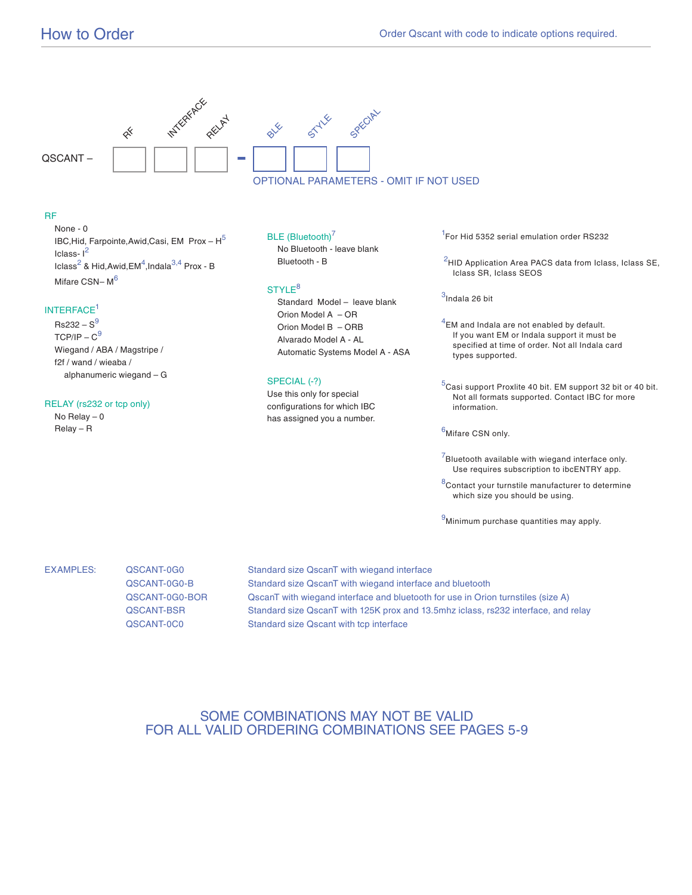

#### RF

None - 0 IBC, Hid, Farpointe, Awid, Casi, EM Prox -  $H^5$ Iclass- $I^2$ Iclass $^2$  & Hid,Awid,EM $^4$ ,Indala $^{3,4}$  Prox - B Mifare CSN-M<sup>6</sup>

#### INTERFACE1

 $Rs232 - S<sup>9</sup>$  $TCP/IP - C<sup>9</sup>$  Wiegand / ABA / Magstripe / f2f / wand / wieaba / alphanumeric wiegand – G

#### RELAY (rs232 or tcp only)

 No Relay – 0 Relay – R

#### BLE (Bluetooth)<sup>7</sup>

 No Bluetooth - leave blank Bluetooth - B

#### STYLE<sup>8</sup>

 Standard Model – leave blank Orion Model A – OR Orion Model B – ORB Alvarado Model A - AL Automatic Systems Model A - ASA

#### SPECIAL (-?)

Use this only for special configurations for which IBC has assigned you a number. <sup>1</sup>For Hid 5352 serial emulation order RS232

 $2$ HID Application Area PACS data from Iclass, Iclass SE, Iclass SR, Iclass SEOS

 $3$ Indala 26 bit

 $^4$ EM and Indala are not enabled by default. If you want EM or Indala support it must be specified at time of order. Not all Indala card types supported.

 $^5$ Casi support Proxlite 40 bit. EM support 32 bit or 40 bit. Not all formats supported. Contact IBC for more information.

6Mifare CSN only.

 $7$ Bluetooth available with wiegand interface only. Use requires subscription to ibcENTRY app.

 $8$ Contact your turnstile manufacturer to determine which size you should be using.

 $<sup>9</sup>$ Minimum purchase quantities may apply.</sup>

EXAMPLES: QSCANT-0G0 Standard size QscanT with wiegand interface QSCANT-0G0-B Standard size QscanT with wiegand interface and bluetooth QSCANT-0G0-BOR QscanT with wiegand interface and bluetooth for use in Orion turnstiles (size A) QSCANT-BSR Standard size QscanT with 125K prox and 13.5mhz iclass, rs232 interface, and relay QSCANT-0C0 Standard size Qscant with tcp interface

### SOME COMBINATIONS MAY NOT BE VALID FOR ALL VALID ORDERING COMBINATIONS SEE PAGES 5-9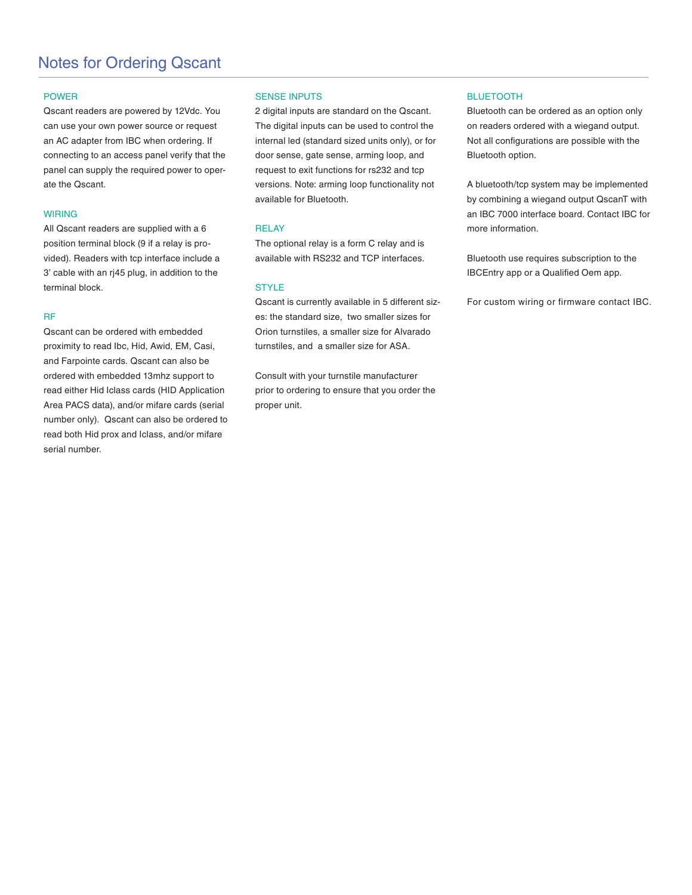## Notes for Ordering Qscant

#### POWER

Qscant readers are powered by 12Vdc. You can use your own power source or request an AC adapter from IBC when ordering. If connecting to an access panel verify that the panel can supply the required power to operate the Qscant.

#### WIRING

All Qscant readers are supplied with a 6 position terminal block (9 if a relay is provided). Readers with tcp interface include a 3' cable with an rj45 plug, in addition to the terminal block.

#### RF

Qscant can be ordered with embedded proximity to read Ibc, Hid, Awid, EM, Casi, and Farpointe cards. Qscant can also be ordered with embedded 13mhz support to read either Hid Iclass cards (HID Application Area PACS data), and/or mifare cards (serial number only). Qscant can also be ordered to read both Hid prox and Iclass, and/or mifare serial number.

#### SENSE INPUTS

2 digital inputs are standard on the Qscant. The digital inputs can be used to control the internal led (standard sized units only), or for door sense, gate sense, arming loop, and request to exit functions for rs232 and tcp versions. Note: arming loop functionality not available for Bluetooth.

#### **RELAY**

The optional relay is a form C relay and is available with RS232 and TCP interfaces.

#### **STYLE**

Qscant is currently available in 5 different sizes: the standard size, two smaller sizes for Orion turnstiles, a smaller size for Alvarado turnstiles, and a smaller size for ASA.

Consult with your turnstile manufacturer prior to ordering to ensure that you order the proper unit.

#### BLUETOOTH

Bluetooth can be ordered as an option only on readers ordered with a wiegand output. Not all configurations are possible with the Bluetooth option.

A bluetooth/tcp system may be implemented by combining a wiegand output QscanT with an IBC 7000 interface board. Contact IBC for more information.

Bluetooth use requires subscription to the IBCEntry app or a Qualified Oem app.

For custom wiring or firmware contact IBC.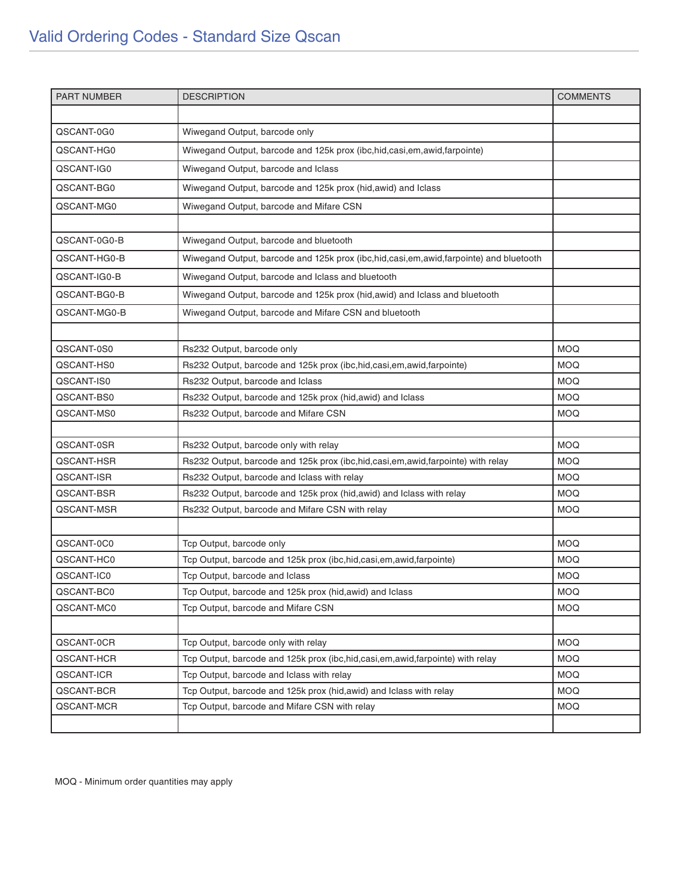| <b>PART NUMBER</b> | <b>DESCRIPTION</b>                                                                    | <b>COMMENTS</b> |
|--------------------|---------------------------------------------------------------------------------------|-----------------|
|                    |                                                                                       |                 |
| QSCANT-0G0         | Wiwegand Output, barcode only                                                         |                 |
| QSCANT-HG0         | Wiwegand Output, barcode and 125k prox (ibc, hid, casi, em, awid, farpointe)          |                 |
| QSCANT-IG0         | Wiwegand Output, barcode and Iclass                                                   |                 |
| QSCANT-BG0         | Wiwegand Output, barcode and 125k prox (hid, awid) and Iclass                         |                 |
| QSCANT-MG0         | Wiwegand Output, barcode and Mifare CSN                                               |                 |
|                    |                                                                                       |                 |
| QSCANT-0G0-B       | Wiwegand Output, barcode and bluetooth                                                |                 |
| QSCANT-HG0-B       | Wiwegand Output, barcode and 125k prox (ibc,hid,casi,em,awid,farpointe) and bluetooth |                 |
| QSCANT-IG0-B       | Wiwegand Output, barcode and Iclass and bluetooth                                     |                 |
| QSCANT-BG0-B       | Wiwegand Output, barcode and 125k prox (hid, awid) and Iclass and bluetooth           |                 |
| QSCANT-MG0-B       | Wiwegand Output, barcode and Mifare CSN and bluetooth                                 |                 |
|                    |                                                                                       |                 |
| QSCANT-0S0         | Rs232 Output, barcode only                                                            | <b>MOQ</b>      |
| QSCANT-HS0         | Rs232 Output, barcode and 125k prox (ibc, hid, casi, em, awid, farpointe)             | <b>MOQ</b>      |
| QSCANT-IS0         | Rs232 Output, barcode and Iclass                                                      | <b>MOQ</b>      |
| QSCANT-BS0         | Rs232 Output, barcode and 125k prox (hid, awid) and Iclass                            | <b>MOQ</b>      |
| QSCANT-MS0         | Rs232 Output, barcode and Mifare CSN                                                  | <b>MOQ</b>      |
|                    |                                                                                       |                 |
| QSCANT-0SR         | Rs232 Output, barcode only with relay                                                 | <b>MOQ</b>      |
| QSCANT-HSR         | Rs232 Output, barcode and 125k prox (ibc,hid,casi,em,awid,farpointe) with relay       | <b>MOQ</b>      |
| QSCANT-ISR         | Rs232 Output, barcode and Iclass with relay                                           | <b>MOQ</b>      |
| QSCANT-BSR         | Rs232 Output, barcode and 125k prox (hid, awid) and Iclass with relay                 | <b>MOQ</b>      |
| QSCANT-MSR         | Rs232 Output, barcode and Mifare CSN with relay                                       | <b>MOQ</b>      |
|                    |                                                                                       |                 |
| QSCANT-0C0         | Tcp Output, barcode only                                                              | <b>MOQ</b>      |
| QSCANT-HC0         | Tcp Output, barcode and 125k prox (ibc,hid,casi,em,awid,farpointe)                    | <b>MOQ</b>      |
| QSCANT-IC0         | Tcp Output, barcode and Iclass                                                        | <b>MOQ</b>      |
| QSCANT-BC0         | Tcp Output, barcode and 125k prox (hid, awid) and Iclass                              | <b>MOQ</b>      |
| QSCANT-MC0         | Tcp Output, barcode and Mifare CSN                                                    | <b>MOQ</b>      |
|                    |                                                                                       |                 |
| QSCANT-0CR         | Tcp Output, barcode only with relay                                                   | <b>MOQ</b>      |
| QSCANT-HCR         | Tcp Output, barcode and 125k prox (ibc, hid, casi, em, awid, farpointe) with relay    | <b>MOQ</b>      |
| QSCANT-ICR         | Tcp Output, barcode and Iclass with relay                                             | MOQ.            |
| QSCANT-BCR         | Tcp Output, barcode and 125k prox (hid, awid) and Iclass with relay                   | <b>MOQ</b>      |
| QSCANT-MCR         | Tcp Output, barcode and Mifare CSN with relay                                         | MOQ.            |
|                    |                                                                                       |                 |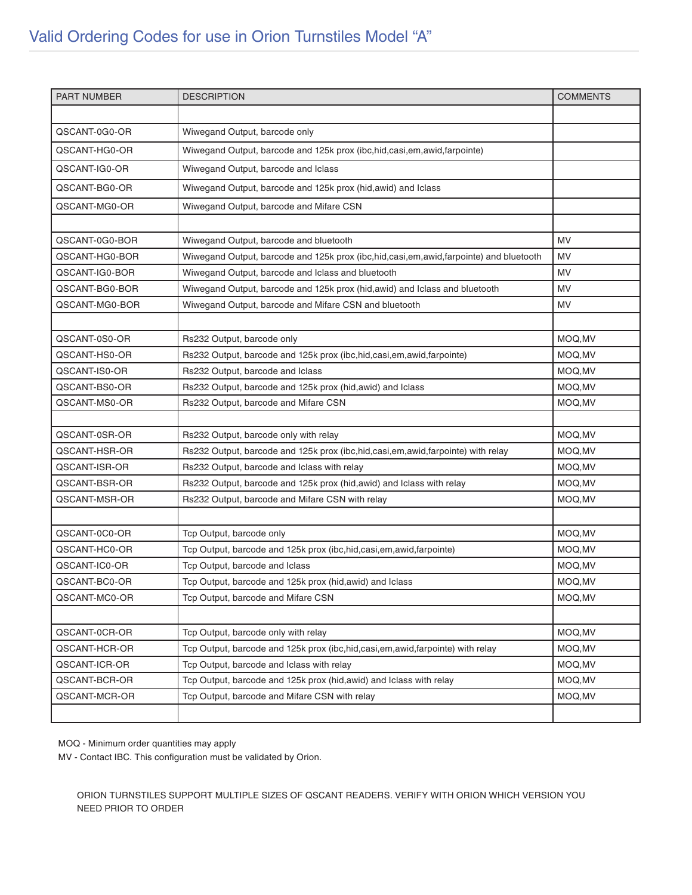| <b>PART NUMBER</b> | <b>DESCRIPTION</b>                                                                    | <b>COMMENTS</b> |
|--------------------|---------------------------------------------------------------------------------------|-----------------|
|                    |                                                                                       |                 |
| QSCANT-0G0-OR      | Wiwegand Output, barcode only                                                         |                 |
| QSCANT-HG0-OR      | Wiwegand Output, barcode and 125k prox (ibc,hid,casi,em,awid,farpointe)               |                 |
| QSCANT-IG0-OR      | Wiwegand Output, barcode and Iclass                                                   |                 |
| QSCANT-BG0-OR      | Wiwegand Output, barcode and 125k prox (hid, awid) and Iclass                         |                 |
| QSCANT-MG0-OR      | Wiwegand Output, barcode and Mifare CSN                                               |                 |
|                    |                                                                                       |                 |
| QSCANT-0G0-BOR     | Wiwegand Output, barcode and bluetooth                                                | MV              |
| QSCANT-HG0-BOR     | Wiwegand Output, barcode and 125k prox (ibc,hid,casi,em,awid,farpointe) and bluetooth | MV              |
| QSCANT-IG0-BOR     | Wiwegand Output, barcode and Iclass and bluetooth                                     | MV              |
| QSCANT-BG0-BOR     | Wiwegand Output, barcode and 125k prox (hid, awid) and Iclass and bluetooth           | MV              |
| QSCANT-MG0-BOR     | Wiwegand Output, barcode and Mifare CSN and bluetooth                                 | MV              |
|                    |                                                                                       |                 |
| QSCANT-0S0-OR      | Rs232 Output, barcode only                                                            | MOQ, MV         |
| QSCANT-HS0-OR      | Rs232 Output, barcode and 125k prox (ibc, hid, casi, em, awid, farpointe)             | MOQ, MV         |
| QSCANT-IS0-OR      | Rs232 Output, barcode and Iclass                                                      | MOQ, MV         |
| QSCANT-BS0-OR      | Rs232 Output, barcode and 125k prox (hid, awid) and Iclass                            | MOQ, MV         |
| QSCANT-MS0-OR      | Rs232 Output, barcode and Mifare CSN                                                  | MOQ, MV         |
|                    |                                                                                       |                 |
| QSCANT-0SR-OR      | Rs232 Output, barcode only with relay                                                 | MOQ, MV         |
| QSCANT-HSR-OR      | Rs232 Output, barcode and 125k prox (ibc,hid,casi,em,awid,farpointe) with relay       | MOQ, MV         |
| QSCANT-ISR-OR      | Rs232 Output, barcode and Iclass with relay                                           | MOQ, MV         |
| QSCANT-BSR-OR      | Rs232 Output, barcode and 125k prox (hid, awid) and Iclass with relay                 | MOQ, MV         |
| QSCANT-MSR-OR      | Rs232 Output, barcode and Mifare CSN with relay                                       | MOQ, MV         |
|                    |                                                                                       |                 |
| QSCANT-0C0-OR      | Tcp Output, barcode only                                                              | MOQ, MV         |
| QSCANT-HC0-OR      | Tcp Output, barcode and 125k prox (ibc,hid,casi,em,awid,farpointe)                    | MOQ, MV         |
| QSCANT-IC0-OR      | Tcp Output, barcode and Iclass                                                        | MOQ, MV         |
| QSCANT-BC0-OR      | Tcp Output, barcode and 125k prox (hid, awid) and Iclass                              | MOQ, MV         |
| QSCANT-MC0-OR      | Tcp Output, barcode and Mifare CSN                                                    | MOQ,MV          |
|                    |                                                                                       |                 |
| QSCANT-0CR-OR      | Tcp Output, barcode only with relay                                                   | MOQ, MV         |
| QSCANT-HCR-OR      | Tcp Output, barcode and 125k prox (ibc, hid, casi, em, awid, farpointe) with relay    | MOQ, MV         |
| QSCANT-ICR-OR      | Tcp Output, barcode and Iclass with relay                                             | MOQ, MV         |
| QSCANT-BCR-OR      | Tcp Output, barcode and 125k prox (hid, awid) and Iclass with relay                   | MOQ, MV         |
| QSCANT-MCR-OR      | Tcp Output, barcode and Mifare CSN with relay                                         | MOQ, MV         |
|                    |                                                                                       |                 |

MV - Contact IBC. This configuration must be validated by Orion.

ORION TURNSTILES SUPPORT MULTIPLE SIZES OF QSCANT READERS. VERIFY WITH ORION WHICH VERSION YOU NEED PRIOR TO ORDER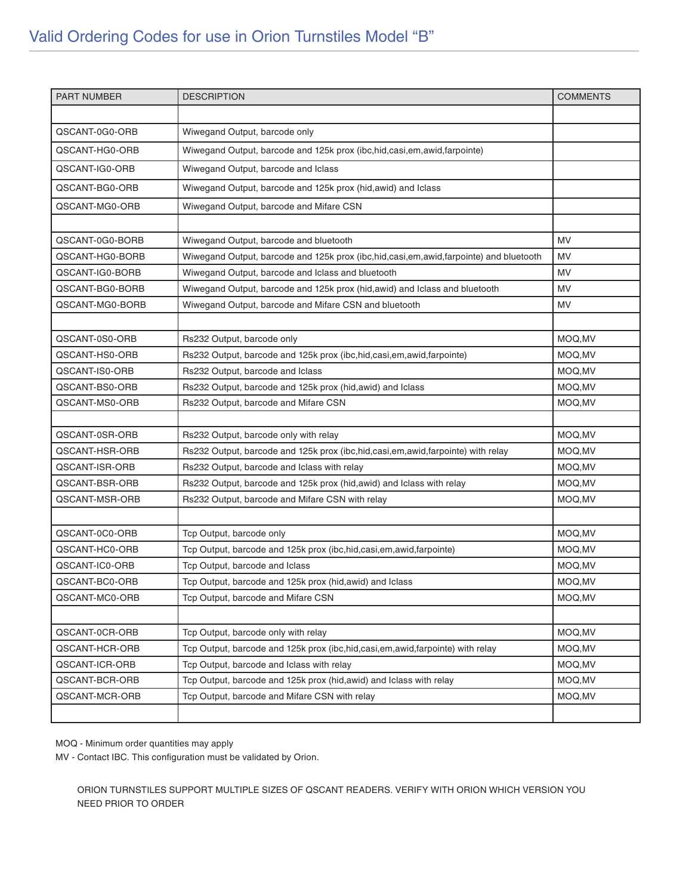| <b>PART NUMBER</b> | <b>DESCRIPTION</b>                                                                    | <b>COMMENTS</b> |
|--------------------|---------------------------------------------------------------------------------------|-----------------|
|                    |                                                                                       |                 |
| QSCANT-0G0-ORB     | Wiwegand Output, barcode only                                                         |                 |
| QSCANT-HG0-ORB     | Wiwegand Output, barcode and 125k prox (ibc,hid,casi,em,awid,farpointe)               |                 |
| QSCANT-IG0-ORB     | Wiwegand Output, barcode and Iclass                                                   |                 |
| QSCANT-BG0-ORB     | Wiwegand Output, barcode and 125k prox (hid, awid) and Iclass                         |                 |
| QSCANT-MG0-ORB     | Wiwegand Output, barcode and Mifare CSN                                               |                 |
|                    |                                                                                       |                 |
| QSCANT-0G0-BORB    | Wiwegand Output, barcode and bluetooth                                                | <b>MV</b>       |
| QSCANT-HG0-BORB    | Wiwegand Output, barcode and 125k prox (ibc,hid,casi,em,awid,farpointe) and bluetooth | <b>MV</b>       |
| QSCANT-IG0-BORB    | Wiwegand Output, barcode and Iclass and bluetooth                                     | MV              |
| QSCANT-BG0-BORB    | Wiwegand Output, barcode and 125k prox (hid, awid) and Iclass and bluetooth           | <b>MV</b>       |
| QSCANT-MG0-BORB    | Wiwegand Output, barcode and Mifare CSN and bluetooth                                 | <b>MV</b>       |
|                    |                                                                                       |                 |
| QSCANT-0S0-ORB     | Rs232 Output, barcode only                                                            | MOQ, MV         |
| QSCANT-HS0-ORB     | Rs232 Output, barcode and 125k prox (ibc, hid, casi, em, awid, farpointe)             | MOQ, MV         |
| QSCANT-IS0-ORB     | Rs232 Output, barcode and Iclass                                                      | MOQ, MV         |
| QSCANT-BS0-ORB     | Rs232 Output, barcode and 125k prox (hid, awid) and Iclass                            | MOQ, MV         |
| QSCANT-MS0-ORB     | Rs232 Output, barcode and Mifare CSN                                                  | MOQ, MV         |
|                    |                                                                                       |                 |
| QSCANT-0SR-ORB     | Rs232 Output, barcode only with relay                                                 | MOQ, MV         |
| QSCANT-HSR-ORB     | Rs232 Output, barcode and 125k prox (ibc,hid,casi,em,awid,farpointe) with relay       | MOQ, MV         |
| QSCANT-ISR-ORB     | Rs232 Output, barcode and Iclass with relay                                           | MOQ, MV         |
| QSCANT-BSR-ORB     | Rs232 Output, barcode and 125k prox (hid, awid) and Iclass with relay                 | MOQ, MV         |
| QSCANT-MSR-ORB     | Rs232 Output, barcode and Mifare CSN with relay                                       | MOQ, MV         |
|                    |                                                                                       |                 |
| QSCANT-0C0-ORB     | Tcp Output, barcode only                                                              | MOQ, MV         |
| QSCANT-HC0-ORB     | Tcp Output, barcode and 125k prox (ibc, hid, casi, em, awid, farpointe)               | MOQ, MV         |
| QSCANT-IC0-ORB     | Tcp Output, barcode and Iclass                                                        | MOQ, MV         |
| QSCANT-BC0-ORB     | Tcp Output, barcode and 125k prox (hid, awid) and Iclass                              | MOQ, MV         |
| QSCANT-MC0-ORB     | Tcp Output, barcode and Mifare CSN                                                    | MOQ,MV          |
|                    |                                                                                       |                 |
| QSCANT-0CR-ORB     | Tcp Output, barcode only with relay                                                   | MOQ, MV         |
| QSCANT-HCR-ORB     | Tcp Output, barcode and 125k prox (ibc, hid, casi, em, awid, farpointe) with relay    | MOQ, MV         |
| QSCANT-ICR-ORB     | Tcp Output, barcode and Iclass with relay                                             | MOQ,MV          |
| QSCANT-BCR-ORB     | Tcp Output, barcode and 125k prox (hid, awid) and Iclass with relay                   | MOQ, MV         |
| QSCANT-MCR-ORB     | Tcp Output, barcode and Mifare CSN with relay                                         | MOQ,MV          |
|                    |                                                                                       |                 |

MV - Contact IBC. This configuration must be validated by Orion.

ORION TURNSTILES SUPPORT MULTIPLE SIZES OF QSCANT READERS. VERIFY WITH ORION WHICH VERSION YOU NEED PRIOR TO ORDER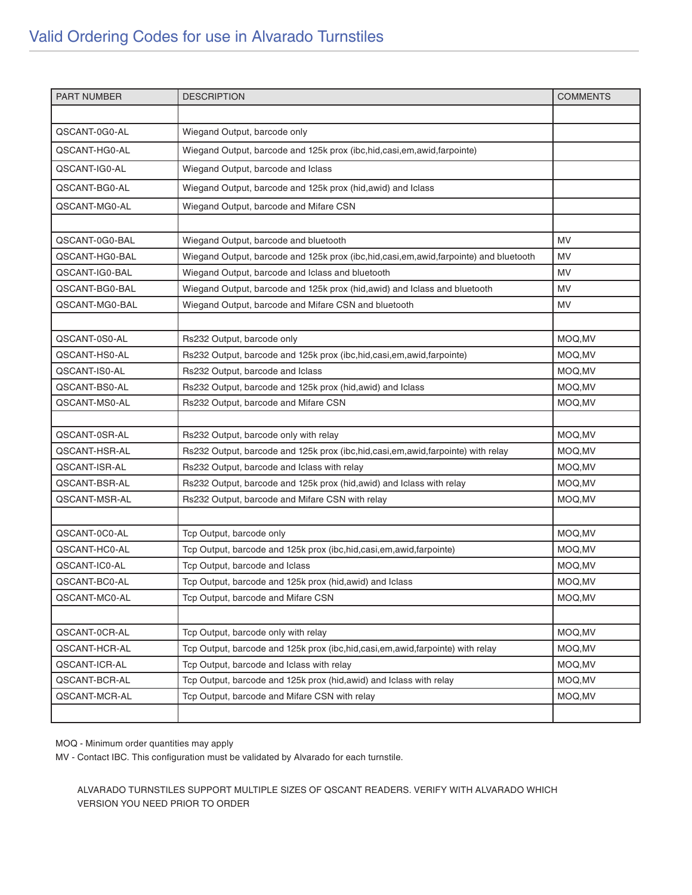| <b>PART NUMBER</b> | <b>DESCRIPTION</b>                                                                   | <b>COMMENTS</b> |
|--------------------|--------------------------------------------------------------------------------------|-----------------|
|                    |                                                                                      |                 |
| QSCANT-0G0-AL      | Wiegand Output, barcode only                                                         |                 |
| QSCANT-HG0-AL      | Wiegand Output, barcode and 125k prox (ibc, hid, casi, em, awid, farpointe)          |                 |
| QSCANT-IG0-AL      | Wiegand Output, barcode and Iclass                                                   |                 |
| QSCANT-BG0-AL      | Wiegand Output, barcode and 125k prox (hid, awid) and Iclass                         |                 |
| QSCANT-MG0-AL      | Wiegand Output, barcode and Mifare CSN                                               |                 |
|                    |                                                                                      |                 |
| QSCANT-0G0-BAL     | Wiegand Output, barcode and bluetooth                                                | MV              |
| QSCANT-HG0-BAL     | Wiegand Output, barcode and 125k prox (ibc,hid,casi,em,awid,farpointe) and bluetooth | <b>MV</b>       |
| QSCANT-IG0-BAL     | Wiegand Output, barcode and Iclass and bluetooth                                     | MV              |
| QSCANT-BG0-BAL     | Wiegand Output, barcode and 125k prox (hid, awid) and Iclass and bluetooth           | <b>MV</b>       |
| QSCANT-MG0-BAL     | Wiegand Output, barcode and Mifare CSN and bluetooth                                 | MV              |
|                    |                                                                                      |                 |
| QSCANT-0S0-AL      | Rs232 Output, barcode only                                                           | MOQ, MV         |
| QSCANT-HS0-AL      | Rs232 Output, barcode and 125k prox (ibc, hid, casi, em, awid, farpointe)            | MOQ, MV         |
| QSCANT-IS0-AL      | Rs232 Output, barcode and Iclass                                                     | MOQ, MV         |
| QSCANT-BS0-AL      | Rs232 Output, barcode and 125k prox (hid, awid) and Iclass                           | MOQ, MV         |
| QSCANT-MS0-AL      | Rs232 Output, barcode and Mifare CSN                                                 | MOQ, MV         |
|                    |                                                                                      |                 |
| QSCANT-0SR-AL      | Rs232 Output, barcode only with relay                                                | MOQ, MV         |
| QSCANT-HSR-AL      | Rs232 Output, barcode and 125k prox (ibc,hid,casi,em,awid,farpointe) with relay      | MOQ, MV         |
| QSCANT-ISR-AL      | Rs232 Output, barcode and Iclass with relay                                          | MOQ, MV         |
| QSCANT-BSR-AL      | Rs232 Output, barcode and 125k prox (hid, awid) and Iclass with relay                | MOQ, MV         |
| QSCANT-MSR-AL      | Rs232 Output, barcode and Mifare CSN with relay                                      | MOQ, MV         |
|                    |                                                                                      |                 |
| QSCANT-0C0-AL      | Tcp Output, barcode only                                                             | MOQ, MV         |
| QSCANT-HC0-AL      | Tcp Output, barcode and 125k prox (ibc, hid, casi, em, awid, farpointe)              | MOQ, MV         |
| QSCANT-IC0-AL      | Tcp Output, barcode and Iclass                                                       | MOQ, MV         |
| QSCANT-BC0-AL      | Tcp Output, barcode and 125k prox (hid, awid) and Iclass                             | MOQ, MV         |
| QSCANT-MC0-AL      | Tcp Output, barcode and Mifare CSN                                                   | MOQ, MV         |
|                    |                                                                                      |                 |
| QSCANT-0CR-AL      | Tcp Output, barcode only with relay                                                  | MOQ, MV         |
| QSCANT-HCR-AL      | Tcp Output, barcode and 125k prox (ibc, hid, casi, em, awid, farpointe) with relay   | MOQ, MV         |
| QSCANT-ICR-AL      | Tcp Output, barcode and Iclass with relay                                            | MOQ, MV         |
| QSCANT-BCR-AL      | Tcp Output, barcode and 125k prox (hid, awid) and Iclass with relay                  | MOQ, MV         |
| QSCANT-MCR-AL      | Tcp Output, barcode and Mifare CSN with relay                                        | MOQ, MV         |
|                    |                                                                                      |                 |

MV - Contact IBC. This configuration must be validated by Alvarado for each turnstile.

ALVARADO TURNSTILES SUPPORT MULTIPLE SIZES OF QSCANT READERS. VERIFY WITH ALVARADO WHICH VERSION YOU NEED PRIOR TO ORDER